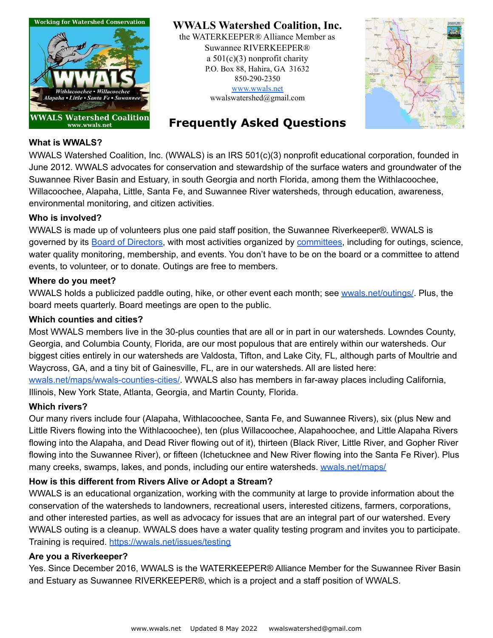

**WWALS Watershed Coalition, Inc.**

the WATERKEEPER® Alliance Member as Suwannee RIVERKEEPER® a  $501(c)(3)$  nonprofit charity P.O. Box 88, Hahira, GA 31632 850-290-2350 [www.wwals.net](http://www.wwals.net) [wwalswatershed@gmail.com](mailto:wwalswatershed@gmail.com)



# **Frequently Asked Questions**

### **What is WWALS?**

WWALS Watershed Coalition, Inc. (WWALS) is an IRS 501(c)(3) nonprofit educational corporation, founded in June 2012. WWALS advocates for conservation and stewardship of the surface waters and groundwater of the Suwannee River Basin and Estuary, in south Georgia and north Florida, among them the Withlacoochee, Willacoochee, Alapaha, Little, Santa Fe, and Suwannee River watersheds, through education, awareness, environmental monitoring, and citizen activities.

#### **Who is involved?**

WWALS is made up of volunteers plus one paid staff position, the Suwannee Riverkeeper®. WWALS is governed by its Board of [Directors](https://wwals.net/about/board/), with most activities organized by [committees](https://wwals.net/about/committees/), including for outings, science, water quality monitoring, membership, and events. You don't have to be on the board or a committee to attend events, to volunteer, or to donate. Outings are free to members.

#### **Where do you meet?**

WWALS holds a publicized paddle outing, hike, or other event each month; see [wwals.net/outings/](https://wwals.net/outings/). Plus, the board meets quarterly. Board meetings are open to the public.

#### **Which counties and cities?**

Most WWALS members live in the 30-plus counties that are all or in part in our watersheds. Lowndes County, Georgia, and Columbia County, Florida, are our most populous that are entirely within our watersheds. Our biggest cities entirely in our watersheds are Valdosta, Tifton, and Lake City, FL, although parts of Moultrie and Waycross, GA, and a tiny bit of Gainesville, FL, are in our watersheds. All are listed here:

[wwals.net/maps/wwals-counties-cities/.](https://wwals.net/maps/wwals-counties-cities/) WWALS also has members in far-away places including California, Illinois, New York State, Atlanta, Georgia, and Martin County, Florida.

#### **Which rivers?**

Our many rivers include four (Alapaha, Withlacoochee, Santa Fe, and Suwannee Rivers), six (plus New and Little Rivers flowing into the Withlacoochee), ten (plus Willacoochee, Alapahoochee, and Little Alapaha Rivers flowing into the Alapaha, and Dead River flowing out of it), thirteen (Black River, Little River, and Gopher River flowing into the Suwannee River), or fifteen (Ichetucknee and New River flowing into the Santa Fe River). Plus many creeks, swamps, lakes, and ponds, including our entire watersheds. [wwals.net/maps/](https://wwals.net/maps/)

#### **How is this different from Rivers Alive or Adopt a Stream?**

WWALS is an educational organization, working with the community at large to provide information about the conservation of the watersheds to landowners, recreational users, interested citizens, farmers, corporations, and other interested parties, as well as advocacy for issues that are an integral part of our watershed. Every WWALS outing is a cleanup. WWALS does have a water quality testing program and invites you to participate. Training is required. <https://wwals.net/issues/testing>

#### **Are you a Riverkeeper?**

Yes. Since December 2016, WWALS is the WATERKEEPER® Alliance Member for the Suwannee River Basin and Estuary as Suwannee RIVERKEEPER®, which is a project and a staff position of WWALS.